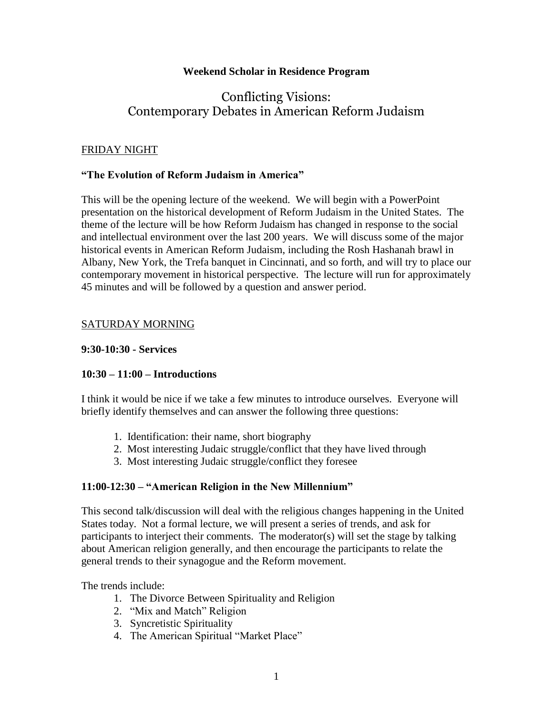## **Weekend Scholar in Residence Program**

# Conflicting Visions: Contemporary Debates in American Reform Judaism

## FRIDAY NIGHT

## **"The Evolution of Reform Judaism in America"**

This will be the opening lecture of the weekend. We will begin with a PowerPoint presentation on the historical development of Reform Judaism in the United States. The theme of the lecture will be how Reform Judaism has changed in response to the social and intellectual environment over the last 200 years. We will discuss some of the major historical events in American Reform Judaism, including the Rosh Hashanah brawl in Albany, New York, the Trefa banquet in Cincinnati, and so forth, and will try to place our contemporary movement in historical perspective. The lecture will run for approximately 45 minutes and will be followed by a question and answer period.

## SATURDAY MORNING

## **9:30-10:30 - Services**

## **10:30 – 11:00 – Introductions**

I think it would be nice if we take a few minutes to introduce ourselves. Everyone will briefly identify themselves and can answer the following three questions:

- 1. Identification: their name, short biography
- 2. Most interesting Judaic struggle/conflict that they have lived through
- 3. Most interesting Judaic struggle/conflict they foresee

# **11:00-12:30 – "American Religion in the New Millennium"**

This second talk/discussion will deal with the religious changes happening in the United States today. Not a formal lecture, we will present a series of trends, and ask for participants to interject their comments. The moderator(s) will set the stage by talking about American religion generally, and then encourage the participants to relate the general trends to their synagogue and the Reform movement.

The trends include:

- 1. The Divorce Between Spirituality and Religion
- 2. "Mix and Match" Religion
- 3. Syncretistic Spirituality
- 4. The American Spiritual "Market Place"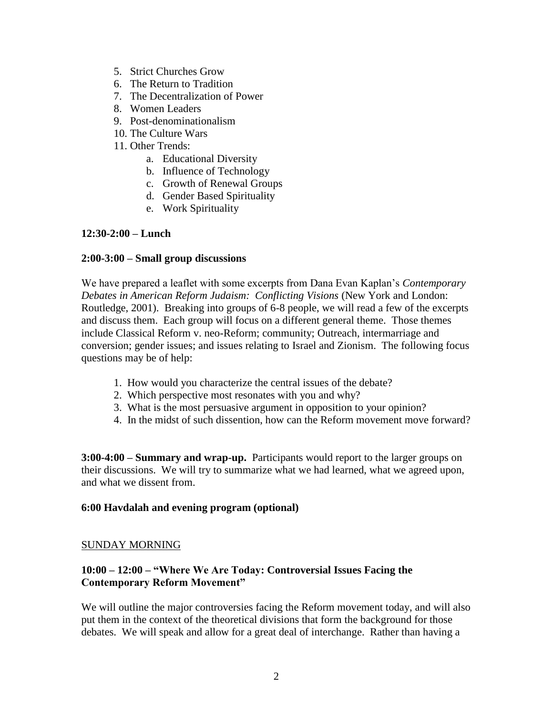- 5. Strict Churches Grow
- 6. The Return to Tradition
- 7. The Decentralization of Power
- 8. Women Leaders
- 9. Post-denominationalism
- 10. The Culture Wars
- 11. Other Trends:
	- a. Educational Diversity
	- b. Influence of Technology
	- c. Growth of Renewal Groups
	- d. Gender Based Spirituality
	- e. Work Spirituality

## **12:30-2:00 – Lunch**

## **2:00-3:00 – Small group discussions**

We have prepared a leaflet with some excerpts from Dana Evan Kaplan's *Contemporary Debates in American Reform Judaism: Conflicting Visions* (New York and London: Routledge, 2001). Breaking into groups of 6-8 people, we will read a few of the excerpts and discuss them. Each group will focus on a different general theme. Those themes include Classical Reform v. neo-Reform; community; Outreach, intermarriage and conversion; gender issues; and issues relating to Israel and Zionism. The following focus questions may be of help:

- 1. How would you characterize the central issues of the debate?
- 2. Which perspective most resonates with you and why?
- 3. What is the most persuasive argument in opposition to your opinion?
- 4. In the midst of such dissention, how can the Reform movement move forward?

**3:00-4:00 – Summary and wrap-up.** Participants would report to the larger groups on their discussions. We will try to summarize what we had learned, what we agreed upon, and what we dissent from.

## **6:00 Havdalah and evening program (optional)**

## SUNDAY MORNING

# **10:00 – 12:00 – "Where We Are Today: Controversial Issues Facing the Contemporary Reform Movement"**

We will outline the major controversies facing the Reform movement today, and will also put them in the context of the theoretical divisions that form the background for those debates. We will speak and allow for a great deal of interchange. Rather than having a